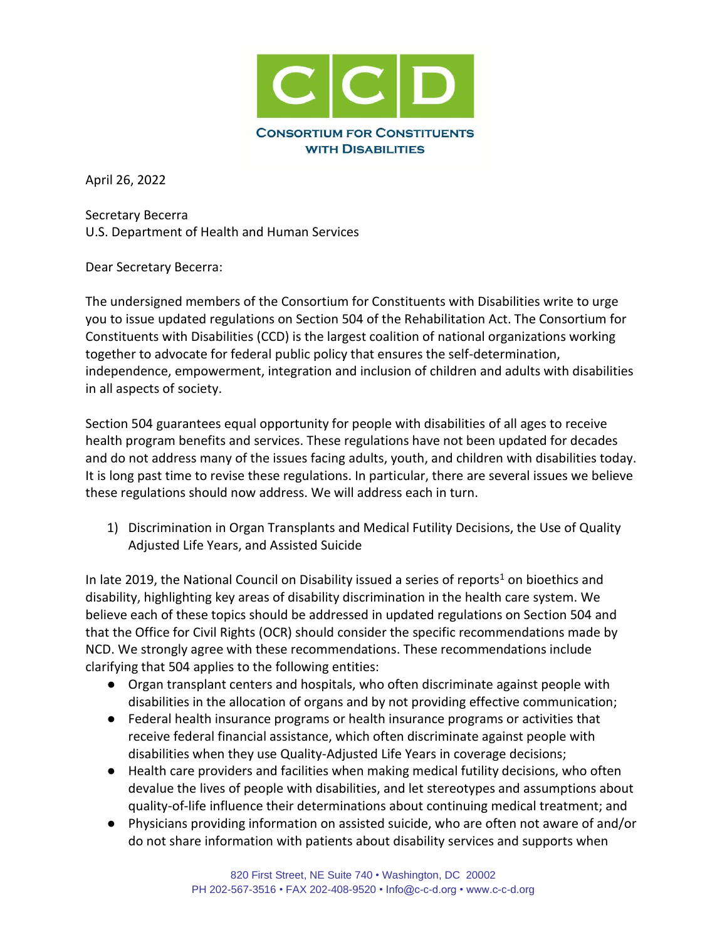

April 26, 2022

Secretary Becerra U.S. Department of Health and Human Services

Dear Secretary Becerra:

The undersigned members of the Consortium for Constituents with Disabilities write to urge you to issue updated regulations on Section 504 of the Rehabilitation Act. The Consortium for Constituents with Disabilities (CCD) is the largest coalition of national organizations working together to advocate for federal public policy that ensures the self-determination, independence, empowerment, integration and inclusion of children and adults with disabilities in all aspects of society.

Section 504 guarantees equal opportunity for people with disabilities of all ages to receive health program benefits and services. These regulations have not been updated for decades and do not address many of the issues facing adults, youth, and children with disabilities today. It is long past time to revise these regulations. In particular, there are several issues we believe these regulations should now address. We will address each in turn.

1) Discrimination in Organ Transplants and Medical Futility Decisions, the Use of Quality Adjusted Life Years, and Assisted Suicide

In late 2019, the National Council on Disability issued a series of reports<sup>1</sup> on bioethics and disability, highlighting key areas of disability discrimination in the health care system. We believe each of these topics should be addressed in updated regulations on Section 504 and that the Office for Civil Rights (OCR) should consider the specific recommendations made by NCD. We strongly agree with these recommendations. These recommendations include clarifying that 504 applies to the following entities:

- Organ transplant centers and hospitals, who often discriminate against people with disabilities in the allocation of organs and by not providing effective communication;
- Federal health insurance programs or health insurance programs or activities that receive federal financial assistance, which often discriminate against people with disabilities when they use Quality-Adjusted Life Years in coverage decisions;
- Health care providers and facilities when making medical futility decisions, who often devalue the lives of people with disabilities, and let stereotypes and assumptions about quality-of-life influence their determinations about continuing medical treatment; and
- Physicians providing information on assisted suicide, who are often not aware of and/or do not share information with patients about disability services and supports when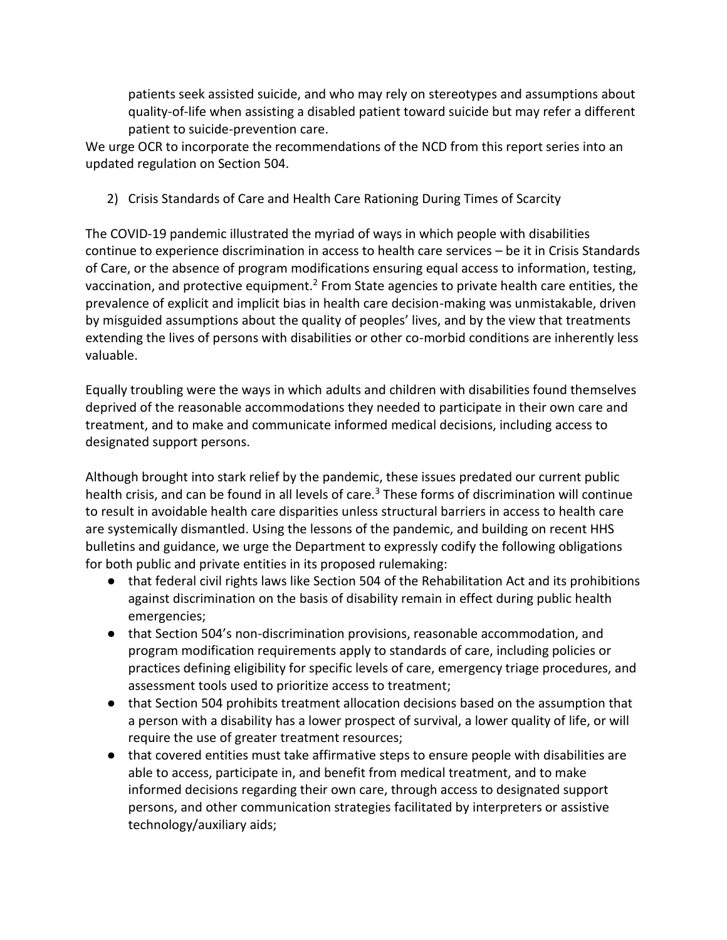patients seek assisted suicide, and who may rely on stereotypes and assumptions about quality-of-life when assisting a disabled patient toward suicide but may refer a different patient to suicide-prevention care.

We urge OCR to incorporate the recommendations of the NCD from this report series into an updated regulation on Section 504.

2) Crisis Standards of Care and Health Care Rationing During Times of Scarcity

The COVID-19 pandemic illustrated the myriad of ways in which people with disabilities continue to experience discrimination in access to health care services – be it in Crisis Standards of Care, or the absence of program modifications ensuring equal access to information, testing, vaccination, and protective equipment.<sup>2</sup> From State agencies to private health care entities, the prevalence of explicit and implicit bias in health care decision-making was unmistakable, driven by misguided assumptions about the quality of peoples' lives, and by the view that treatments extending the lives of persons with disabilities or other co-morbid conditions are inherently less valuable.

Equally troubling were the ways in which adults and children with disabilities found themselves deprived of the reasonable accommodations they needed to participate in their own care and treatment, and to make and communicate informed medical decisions, including access to designated support persons.

Although brought into stark relief by the pandemic, these issues predated our current public health crisis, and can be found in all levels of care.<sup>3</sup> These forms of discrimination will continue to result in avoidable health care disparities unless structural barriers in access to health care are systemically dismantled. Using the lessons of the pandemic, and building on recent HHS bulletins and guidance, we urge the Department to expressly codify the following obligations for both public and private entities in its proposed rulemaking:

- that federal civil rights laws like Section 504 of the Rehabilitation Act and its prohibitions against discrimination on the basis of disability remain in effect during public health emergencies;
- that Section 504's non-discrimination provisions, reasonable accommodation, and program modification requirements apply to standards of care, including policies or practices defining eligibility for specific levels of care, emergency triage procedures, and assessment tools used to prioritize access to treatment;
- that Section 504 prohibits treatment allocation decisions based on the assumption that a person with a disability has a lower prospect of survival, a lower quality of life, or will require the use of greater treatment resources;
- that covered entities must take affirmative steps to ensure people with disabilities are able to access, participate in, and benefit from medical treatment, and to make informed decisions regarding their own care, through access to designated support persons, and other communication strategies facilitated by interpreters or assistive technology/auxiliary aids;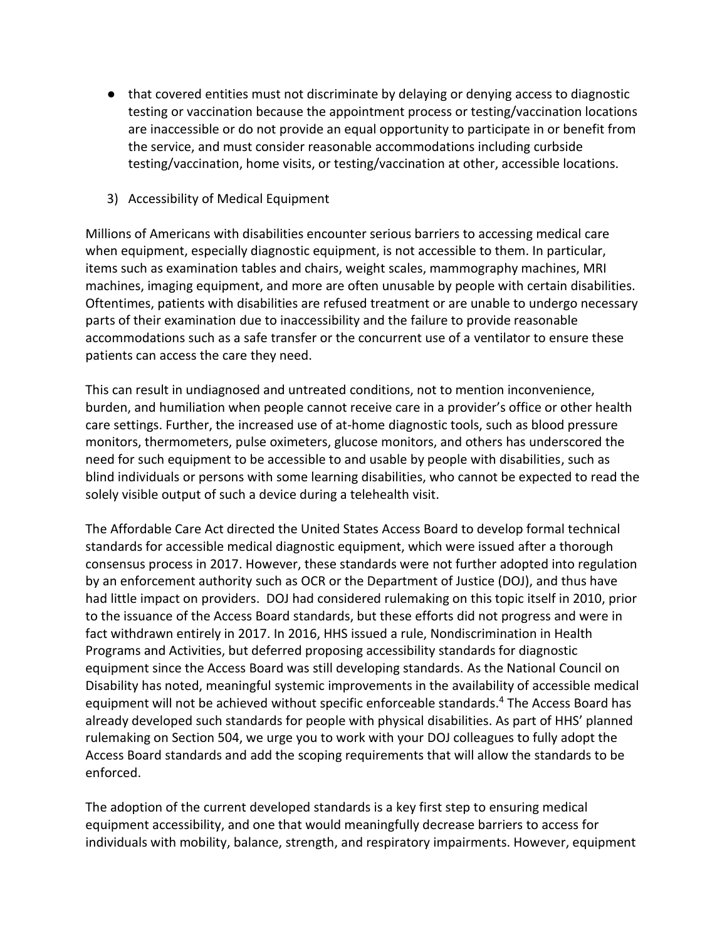- that covered entities must not discriminate by delaying or denying access to diagnostic testing or vaccination because the appointment process or testing/vaccination locations are inaccessible or do not provide an equal opportunity to participate in or benefit from the service, and must consider reasonable accommodations including curbside testing/vaccination, home visits, or testing/vaccination at other, accessible locations.
- 3) Accessibility of Medical Equipment

Millions of Americans with disabilities encounter serious barriers to accessing medical care when equipment, especially diagnostic equipment, is not accessible to them. In particular, items such as examination tables and chairs, weight scales, mammography machines, MRI machines, imaging equipment, and more are often unusable by people with certain disabilities. Oftentimes, patients with disabilities are refused treatment or are unable to undergo necessary parts of their examination due to inaccessibility and the failure to provide reasonable accommodations such as a safe transfer or the concurrent use of a ventilator to ensure these patients can access the care they need.

This can result in undiagnosed and untreated conditions, not to mention inconvenience, burden, and humiliation when people cannot receive care in a provider's office or other health care settings. Further, the increased use of at-home diagnostic tools, such as blood pressure monitors, thermometers, pulse oximeters, glucose monitors, and others has underscored the need for such equipment to be accessible to and usable by people with disabilities, such as blind individuals or persons with some learning disabilities, who cannot be expected to read the solely visible output of such a device during a telehealth visit.

The Affordable Care Act directed the United States Access Board to develop formal technical standards for accessible medical diagnostic equipment, which were issued after a thorough consensus process in 2017. However, these standards were not further adopted into regulation by an enforcement authority such as OCR or the Department of Justice (DOJ), and thus have had little impact on providers. DOJ had considered rulemaking on this topic itself in 2010, prior to the issuance of the Access Board standards, but these efforts did not progress and were in fact withdrawn entirely in 2017. In 2016, HHS issued a rule, Nondiscrimination in Health Programs and Activities, but deferred proposing accessibility standards for diagnostic equipment since the Access Board was still developing standards. As the National Council on Disability has noted, meaningful systemic improvements in the availability of accessible medical equipment will not be achieved without specific enforceable standards.<sup>4</sup> The Access Board has already developed such standards for people with physical disabilities. As part of HHS' planned rulemaking on Section 504, we urge you to work with your DOJ colleagues to fully adopt the Access Board standards and add the scoping requirements that will allow the standards to be enforced.

The adoption of the current developed standards is a key first step to ensuring medical equipment accessibility, and one that would meaningfully decrease barriers to access for individuals with mobility, balance, strength, and respiratory impairments. However, equipment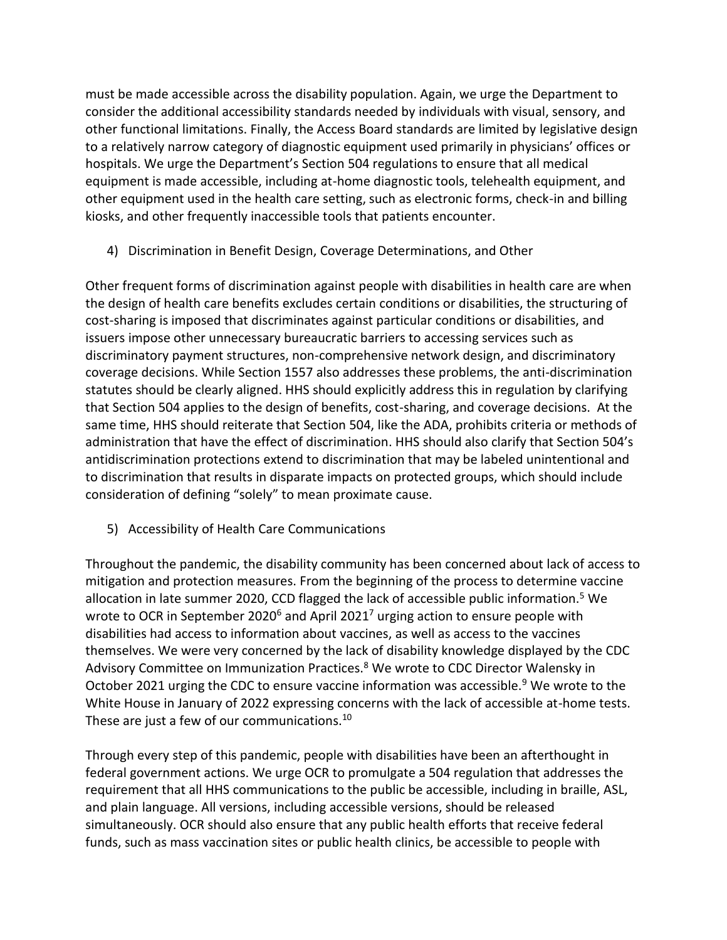must be made accessible across the disability population. Again, we urge the Department to consider the additional accessibility standards needed by individuals with visual, sensory, and other functional limitations. Finally, the Access Board standards are limited by legislative design to a relatively narrow category of diagnostic equipment used primarily in physicians' offices or hospitals. We urge the Department's Section 504 regulations to ensure that all medical equipment is made accessible, including at-home diagnostic tools, telehealth equipment, and other equipment used in the health care setting, such as electronic forms, check-in and billing kiosks, and other frequently inaccessible tools that patients encounter.

4) Discrimination in Benefit Design, Coverage Determinations, and Other

Other frequent forms of discrimination against people with disabilities in health care are when the design of health care benefits excludes certain conditions or disabilities, the structuring of cost-sharing is imposed that discriminates against particular conditions or disabilities, and issuers impose other unnecessary bureaucratic barriers to accessing services such as discriminatory payment structures, non-comprehensive network design, and discriminatory coverage decisions. While Section 1557 also addresses these problems, the anti-discrimination statutes should be clearly aligned. HHS should explicitly address this in regulation by clarifying that Section 504 applies to the design of benefits, cost-sharing, and coverage decisions. At the same time, HHS should reiterate that Section 504, like the ADA, prohibits criteria or methods of administration that have the effect of discrimination. HHS should also clarify that Section 504's antidiscrimination protections extend to discrimination that may be labeled unintentional and to discrimination that results in disparate impacts on protected groups, which should include consideration of defining "solely" to mean proximate cause.

5) Accessibility of Health Care Communications

Throughout the pandemic, the disability community has been concerned about lack of access to mitigation and protection measures. From the beginning of the process to determine vaccine allocation in late summer 2020, CCD flagged the lack of accessible public information.<sup>5</sup> We wrote to OCR in September 2020<sup>6</sup> and April 2021<sup>7</sup> urging action to ensure people with disabilities had access to information about vaccines, as well as access to the vaccines themselves. We were very concerned by the lack of disability knowledge displayed by the CDC Advisory Committee on Immunization Practices.<sup>8</sup> We wrote to CDC Director Walensky in October 2021 urging the CDC to ensure vaccine information was accessible.<sup>9</sup> We wrote to the White House in January of 2022 expressing concerns with the lack of accessible at-home tests. These are just a few of our communications.<sup>10</sup>

Through every step of this pandemic, people with disabilities have been an afterthought in federal government actions. We urge OCR to promulgate a 504 regulation that addresses the requirement that all HHS communications to the public be accessible, including in braille, ASL, and plain language. All versions, including accessible versions, should be released simultaneously. OCR should also ensure that any public health efforts that receive federal funds, such as mass vaccination sites or public health clinics, be accessible to people with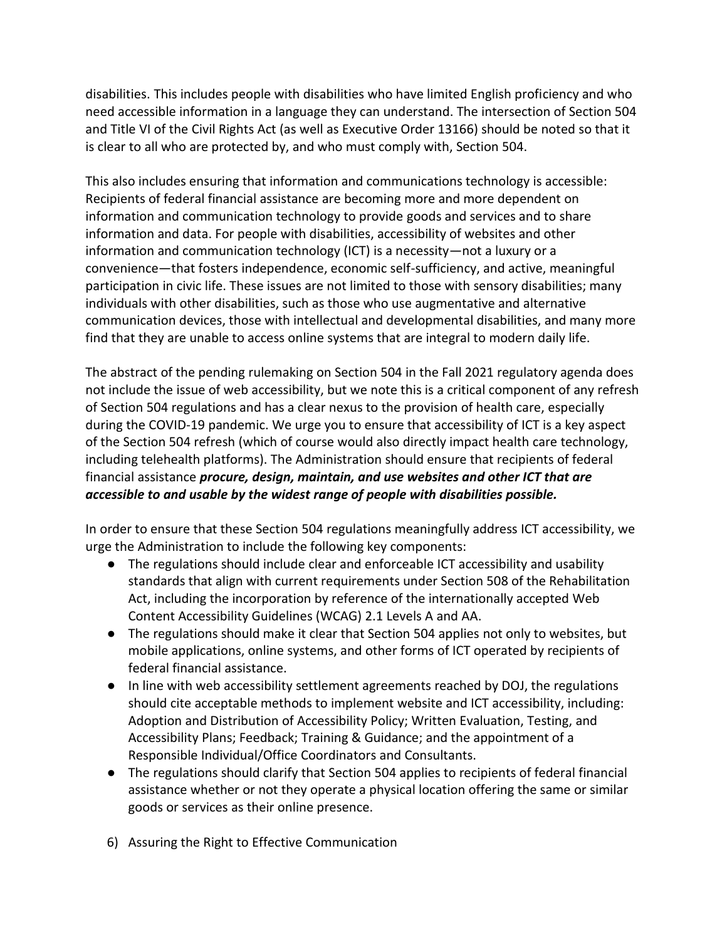disabilities. This includes people with disabilities who have limited English proficiency and who need accessible information in a language they can understand. The intersection of Section 504 and Title VI of the Civil Rights Act (as well as Executive Order 13166) should be noted so that it is clear to all who are protected by, and who must comply with, Section 504.

This also includes ensuring that information and communications technology is accessible: Recipients of federal financial assistance are becoming more and more dependent on information and communication technology to provide goods and services and to share information and data. For people with disabilities, accessibility of websites and other information and communication technology (ICT) is a necessity—not a luxury or a convenience—that fosters independence, economic self-sufficiency, and active, meaningful participation in civic life. These issues are not limited to those with sensory disabilities; many individuals with other disabilities, such as those who use augmentative and alternative communication devices, those with intellectual and developmental disabilities, and many more find that they are unable to access online systems that are integral to modern daily life.

The abstract of the pending rulemaking on Section 504 in the Fall 2021 regulatory agenda does not include the issue of web accessibility, but we note this is a critical component of any refresh of Section 504 regulations and has a clear nexus to the provision of health care, especially during the COVID-19 pandemic. We urge you to ensure that accessibility of ICT is a key aspect of the Section 504 refresh (which of course would also directly impact health care technology, including telehealth platforms). The Administration should ensure that recipients of federal financial assistance *procure, design, maintain, and use websites and other ICT that are accessible to and usable by the widest range of people with disabilities possible.*

In order to ensure that these Section 504 regulations meaningfully address ICT accessibility, we urge the Administration to include the following key components:

- The regulations should include clear and enforceable ICT accessibility and usability standards that align with current requirements under Section 508 of the Rehabilitation Act, including the incorporation by reference of the internationally accepted Web Content Accessibility Guidelines (WCAG) 2.1 Levels A and AA.
- The regulations should make it clear that Section 504 applies not only to websites, but mobile applications, online systems, and other forms of ICT operated by recipients of federal financial assistance.
- In line with web accessibility settlement agreements reached by DOJ, the regulations should cite acceptable methods to implement website and ICT accessibility, including: Adoption and Distribution of Accessibility Policy; Written Evaluation, Testing, and Accessibility Plans; Feedback; Training & Guidance; and the appointment of a Responsible Individual/Office Coordinators and Consultants.
- The regulations should clarify that Section 504 applies to recipients of federal financial assistance whether or not they operate a physical location offering the same or similar goods or services as their online presence.
- 6) Assuring the Right to Effective Communication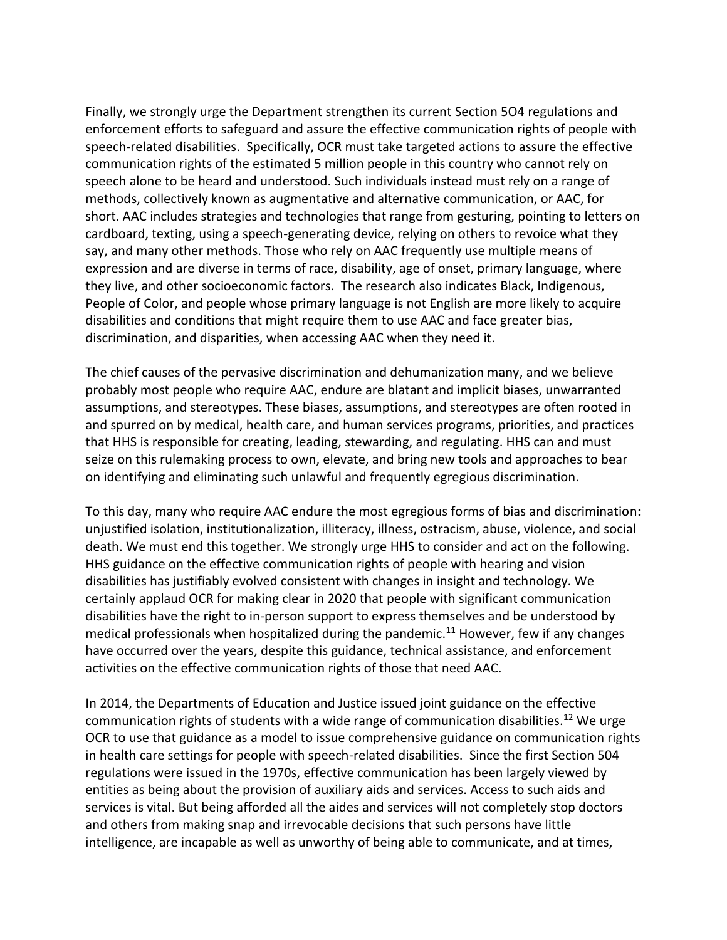Finally, we strongly urge the Department strengthen its current Section 5O4 regulations and enforcement efforts to safeguard and assure the effective communication rights of people with speech-related disabilities. Specifically, OCR must take targeted actions to assure the effective communication rights of the estimated 5 million people in this country who cannot rely on speech alone to be heard and understood. Such individuals instead must rely on a range of methods, collectively known as augmentative and alternative communication, or AAC, for short. AAC includes strategies and technologies that range from gesturing, pointing to letters on cardboard, texting, using a speech-generating device, relying on others to revoice what they say, and many other methods. Those who rely on AAC frequently use multiple means of expression and are diverse in terms of race, disability, age of onset, primary language, where they live, and other socioeconomic factors. The research also indicates Black, Indigenous, People of Color, and people whose primary language is not English are more likely to acquire disabilities and conditions that might require them to use AAC and face greater bias, discrimination, and disparities, when accessing AAC when they need it.

The chief causes of the pervasive discrimination and dehumanization many, and we believe probably most people who require AAC, endure are blatant and implicit biases, unwarranted assumptions, and stereotypes. These biases, assumptions, and stereotypes are often rooted in and spurred on by medical, health care, and human services programs, priorities, and practices that HHS is responsible for creating, leading, stewarding, and regulating. HHS can and must seize on this rulemaking process to own, elevate, and bring new tools and approaches to bear on identifying and eliminating such unlawful and frequently egregious discrimination.

To this day, many who require AAC endure the most egregious forms of bias and discrimination: unjustified isolation, institutionalization, illiteracy, illness, ostracism, abuse, violence, and social death. We must end this together. We strongly urge HHS to consider and act on the following. HHS guidance on the effective communication rights of people with hearing and vision disabilities has justifiably evolved consistent with changes in insight and technology. We certainly applaud OCR for making clear in 2020 that people with significant communication disabilities have the right to in-person support to express themselves and be understood by medical professionals when hospitalized during the pandemic.<sup>11</sup> However, few if any changes have occurred over the years, despite this guidance, technical assistance, and enforcement activities on the effective communication rights of those that need AAC.

In 2014, the Departments of Education and Justice issued joint guidance on the effective communication rights of students with a wide range of communication disabilities.<sup>12</sup> We urge OCR to use that guidance as a model to issue comprehensive guidance on communication rights in health care settings for people with speech-related disabilities. Since the first Section 504 regulations were issued in the 1970s, effective communication has been largely viewed by entities as being about the provision of auxiliary aids and services. Access to such aids and services is vital. But being afforded all the aides and services will not completely stop doctors and others from making snap and irrevocable decisions that such persons have little intelligence, are incapable as well as unworthy of being able to communicate, and at times,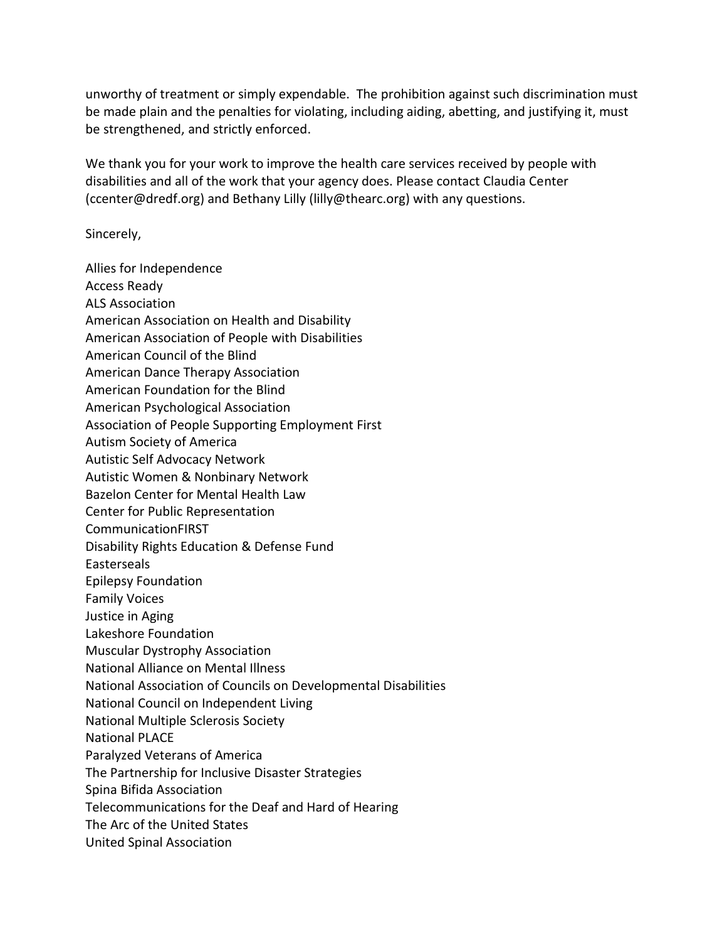unworthy of treatment or simply expendable. The prohibition against such discrimination must be made plain and the penalties for violating, including aiding, abetting, and justifying it, must be strengthened, and strictly enforced.

We thank you for your work to improve the health care services received by people with disabilities and all of the work that your agency does. Please contact Claudia Center (ccenter@dredf.org) and Bethany Lilly (lilly@thearc.org) with any questions.

Sincerely,

Allies for Independence Access Ready ALS Association American Association on Health and Disability American Association of People with Disabilities American Council of the Blind American Dance Therapy Association American Foundation for the Blind American Psychological Association Association of People Supporting Employment First Autism Society of America Autistic Self Advocacy Network Autistic Women & Nonbinary Network Bazelon Center for Mental Health Law Center for Public Representation CommunicationFIRST Disability Rights Education & Defense Fund Easterseals Epilepsy Foundation Family Voices Justice in Aging Lakeshore Foundation Muscular Dystrophy Association National Alliance on Mental Illness National Association of Councils on Developmental Disabilities National Council on Independent Living National Multiple Sclerosis Society National PLACE Paralyzed Veterans of America The Partnership for Inclusive Disaster Strategies Spina Bifida Association Telecommunications for the Deaf and Hard of Hearing The Arc of the United States United Spinal Association